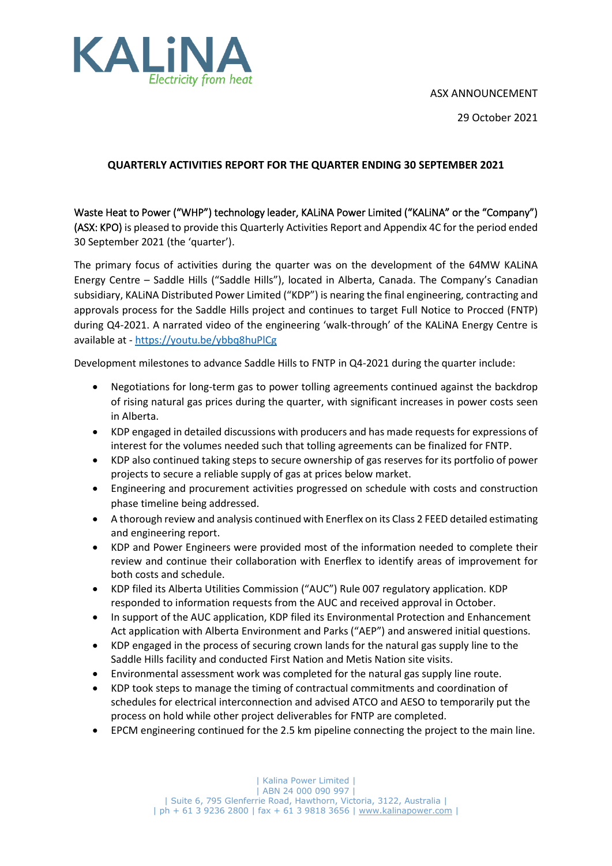



29 October 2021

### **QUARTERLY ACTIVITIES REPORT FOR THE QUARTER ENDING 30 SEPTEMBER 2021**

Waste Heat to Power ("WHP") technology leader, KALiNA Power Limited ("KALiNA" or the "Company") (ASX: KPO) is pleased to provide this Quarterly Activities Report and Appendix 4C for the period ended 30 September 2021 (the 'quarter').

The primary focus of activities during the quarter was on the development of the 64MW KALiNA Energy Centre – Saddle Hills ("Saddle Hills"), located in Alberta, Canada. The Company's Canadian subsidiary, KALiNA Distributed Power Limited ("KDP") is nearing the final engineering, contracting and approvals process for the Saddle Hills project and continues to target Full Notice to Procced (FNTP) during Q4-2021. A narrated video of the engineering 'walk-through' of the KALiNA Energy Centre is available at - [https://youtu.be/ybbq8huPlCg](https://can01.safelinks.protection.outlook.com/?url=https%3A%2F%2Fyoutu.be%2Fybbq8huPlCg&data=04%7C01%7CrmacLachlan%40kalinapower.com%7C7cb889487c084db6cb6608d96709a697%7Cb72587daa49b482d86b94bdde734eaf8%7C1%7C0%7C637654113403801880%7CUnknown%7CTWFpbGZsb3d8eyJWIjoiMC4wLjAwMDAiLCJQIjoiV2luMzIiLCJBTiI6Ik1haWwiLCJXVCI6Mn0%3D%7C1000&sdata=qR5xQndhZe7dJkwqSQUzGVRyJ3fVqprq7%2FZ1Eoqg8SU%3D&reserved=0)

Development milestones to advance Saddle Hills to FNTP in Q4-2021 during the quarter include:

- Negotiations for long-term gas to power tolling agreements continued against the backdrop of rising natural gas prices during the quarter, with significant increases in power costs seen in Alberta.
- KDP engaged in detailed discussions with producers and has made requests for expressions of interest for the volumes needed such that tolling agreements can be finalized for FNTP.
- KDP also continued taking steps to secure ownership of gas reserves for its portfolio of power projects to secure a reliable supply of gas at prices below market.
- Engineering and procurement activities progressed on schedule with costs and construction phase timeline being addressed.
- A thorough review and analysis continued with Enerflex on its Class 2 FEED detailed estimating and engineering report.
- KDP and Power Engineers were provided most of the information needed to complete their review and continue their collaboration with Enerflex to identify areas of improvement for both costs and schedule.
- KDP filed its Alberta Utilities Commission ("AUC") Rule 007 regulatory application. KDP responded to information requests from the AUC and received approval in October.
- In support of the AUC application, KDP filed its Environmental Protection and Enhancement Act application with Alberta Environment and Parks ("AEP") and answered initial questions.
- KDP engaged in the process of securing crown lands for the natural gas supply line to the Saddle Hills facility and conducted First Nation and Metis Nation site visits.
- Environmental assessment work was completed for the natural gas supply line route.
- KDP took steps to manage the timing of contractual commitments and coordination of schedules for electrical interconnection and advised ATCO and AESO to temporarily put the process on hold while other project deliverables for FNTP are completed.
- EPCM engineering continued for the 2.5 km pipeline connecting the project to the main line.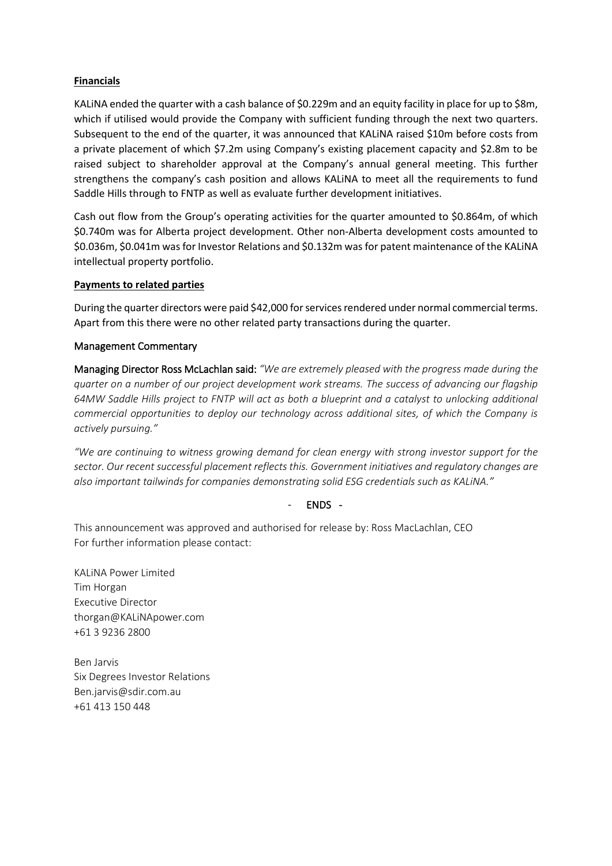### **Financials**

KALiNA ended the quarter with a cash balance of \$0.229m and an equity facility in place for up to \$8m, which if utilised would provide the Company with sufficient funding through the next two quarters. Subsequent to the end of the quarter, it was announced that KALiNA raised \$10m before costs from a private placement of which \$7.2m using Company's existing placement capacity and \$2.8m to be raised subject to shareholder approval at the Company's annual general meeting. This further strengthens the company's cash position and allows KALiNA to meet all the requirements to fund Saddle Hills through to FNTP as well as evaluate further development initiatives.

Cash out flow from the Group's operating activities for the quarter amounted to \$0.864m, of which \$0.740m was for Alberta project development. Other non-Alberta development costs amounted to \$0.036m, \$0.041m was for Investor Relations and \$0.132m was for patent maintenance of the KALiNA intellectual property portfolio.

### **Payments to related parties**

During the quarter directors were paid \$42,000 for services rendered under normal commercial terms. Apart from this there were no other related party transactions during the quarter.

### Management Commentary

Managing Director Ross McLachlan said: *"We are extremely pleased with the progress made during the quarter on a number of our project development work streams. The success of advancing our flagship 64MW Saddle Hills project to FNTP will act as both a blueprint and a catalyst to unlocking additional commercial opportunities to deploy our technology across additional sites, of which the Company is actively pursuing."*

*"We are continuing to witness growing demand for clean energy with strong investor support for the sector. Our recent successful placement reflects this. Government initiatives and regulatory changes are also important tailwinds for companies demonstrating solid ESG credentials such as KALiNA."*

#### - ENDS -

This announcement was approved and authorised for release by: Ross MacLachlan, CEO For further information please contact:

KALiNA Power Limited Tim Horgan Executive Director thorgan@KALiNApower.com +61 3 9236 2800

Ben Jarvis Six Degrees Investor Relations Ben.jarvis@sdir.com.au +61 413 150 448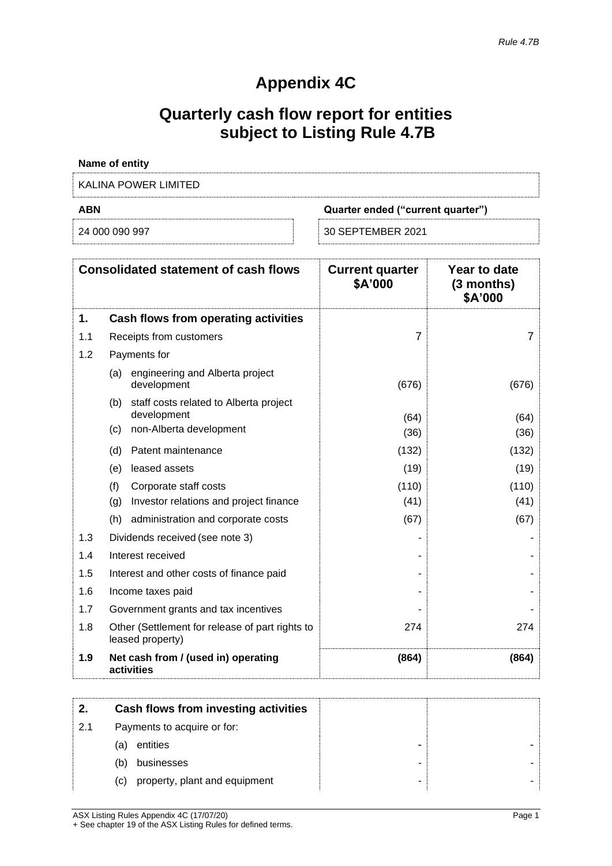## **Appendix 4C**

# **Quarterly cash flow report for entities subject to Listing Rule 4.7B**

| <b>Name of entity</b> |                                   |
|-----------------------|-----------------------------------|
| KALINA POWER LIMITED  |                                   |
| <b>ABN</b>            | Quarter ended ("current quarter") |
| 24 000 090 997        | 30 SEPTEMBER 2021                 |

|     | <b>Consolidated statement of cash flows</b>                         | <b>Current quarter</b><br>\$A'000 | Year to date<br>$(3$ months)<br>\$A'000 |
|-----|---------------------------------------------------------------------|-----------------------------------|-----------------------------------------|
| 1.  | Cash flows from operating activities                                |                                   |                                         |
| 1.1 | Receipts from customers                                             | 7                                 | 7                                       |
| 1.2 | Payments for                                                        |                                   |                                         |
|     | engineering and Alberta project<br>(a)<br>development               | (676)                             | (676)                                   |
|     | (b) staff costs related to Alberta project<br>development           | (64)                              | (64)                                    |
|     | non-Alberta development<br>(c)                                      | (36)                              | (36)                                    |
|     | Patent maintenance<br>(d)                                           | (132)                             | (132)                                   |
|     | leased assets<br>(e)                                                | (19)                              | (19)                                    |
|     | (f)<br>Corporate staff costs                                        | (110)                             | (110)                                   |
|     | Investor relations and project finance<br>(g)                       | (41)                              | (41)                                    |
|     | (h)<br>administration and corporate costs                           | (67)                              | (67)                                    |
| 1.3 | Dividends received (see note 3)                                     |                                   |                                         |
| 1.4 | Interest received                                                   |                                   |                                         |
| 1.5 | Interest and other costs of finance paid                            |                                   |                                         |
| 1.6 | Income taxes paid                                                   |                                   |                                         |
| 1.7 | Government grants and tax incentives                                |                                   |                                         |
| 1.8 | Other (Settlement for release of part rights to<br>leased property) | 274                               | 274                                     |
| 1.9 | Net cash from / (used in) operating<br>activities                   | (864)                             | (864)                                   |

| 2.  | Cash flows from investing activities |   |  |
|-----|--------------------------------------|---|--|
| 2.1 | Payments to acquire or for:          |   |  |
|     | entities<br>(a)                      |   |  |
|     | businesses<br>(b)                    | - |  |
|     | property, plant and equipment<br>(C) |   |  |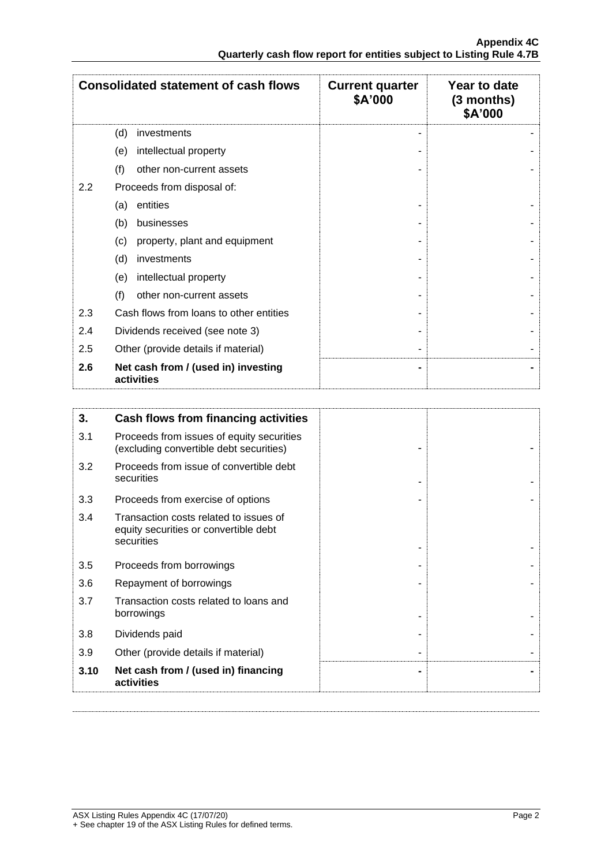|     | <b>Consolidated statement of cash flows</b>       | <b>Current quarter</b><br>\$A'000 | Year to date<br>$(3$ months)<br>\$A'000 |
|-----|---------------------------------------------------|-----------------------------------|-----------------------------------------|
|     | (d)<br>investments                                |                                   |                                         |
|     | intellectual property<br>(e)                      |                                   |                                         |
|     | (f)<br>other non-current assets                   |                                   |                                         |
| 2.2 | Proceeds from disposal of:                        |                                   |                                         |
|     | entities<br>(a)                                   |                                   |                                         |
|     | (b)<br>businesses                                 |                                   |                                         |
|     | property, plant and equipment<br>(c)              |                                   |                                         |
|     | (d)<br>investments                                |                                   |                                         |
|     | intellectual property<br>(e)                      |                                   |                                         |
|     | (f)<br>other non-current assets                   |                                   |                                         |
| 2.3 | Cash flows from loans to other entities           |                                   |                                         |
| 2.4 | Dividends received (see note 3)                   |                                   |                                         |
| 2.5 | Other (provide details if material)               |                                   |                                         |
| 2.6 | Net cash from / (used in) investing<br>activities |                                   |                                         |

| 3.   | Cash flows from financing activities                                                          |  |
|------|-----------------------------------------------------------------------------------------------|--|
| 3.1  | Proceeds from issues of equity securities<br>(excluding convertible debt securities)          |  |
| 3.2  | Proceeds from issue of convertible debt<br>securities                                         |  |
| 3.3  | Proceeds from exercise of options                                                             |  |
| 3.4  | Transaction costs related to issues of<br>equity securities or convertible debt<br>securities |  |
| 3.5  | Proceeds from borrowings                                                                      |  |
| 3.6  | Repayment of borrowings                                                                       |  |
| 3.7  | Transaction costs related to loans and<br>borrowings                                          |  |
| 3.8  | Dividends paid                                                                                |  |
| 3.9  | Other (provide details if material)                                                           |  |
| 3.10 | Net cash from / (used in) financing<br>activities                                             |  |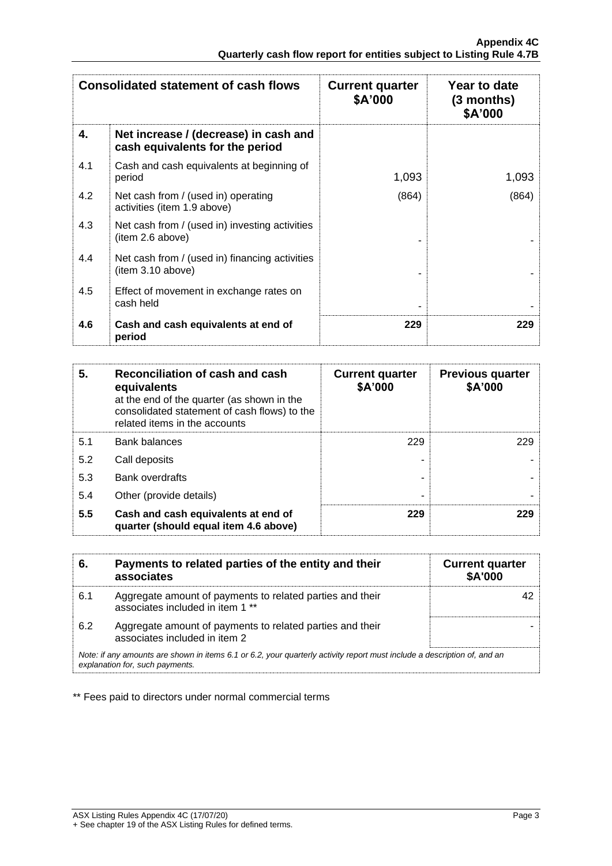|     | <b>Consolidated statement of cash flows</b>                              | <b>Current quarter</b><br>\$A'000 | Year to date<br>$(3$ months)<br>\$A'000 |
|-----|--------------------------------------------------------------------------|-----------------------------------|-----------------------------------------|
| 4.  | Net increase / (decrease) in cash and<br>cash equivalents for the period |                                   |                                         |
| 4.1 | Cash and cash equivalents at beginning of<br>period                      | 1,093                             | 1,093                                   |
| 4.2 | Net cash from / (used in) operating<br>activities (item 1.9 above)       | (864)                             | (864)                                   |
| 4.3 | Net cash from / (used in) investing activities<br>(item 2.6 above)       |                                   |                                         |
| 4.4 | Net cash from / (used in) financing activities<br>item 3.10 above)       |                                   |                                         |
| 4.5 | Effect of movement in exchange rates on<br>cash held                     |                                   |                                         |
| 4.6 | Cash and cash equivalents at end of<br>period                            | 229                               | 229                                     |

| 5.  | Reconciliation of cash and cash<br>equivalents<br>at the end of the quarter (as shown in the<br>consolidated statement of cash flows) to the<br>related items in the accounts | <b>Current quarter</b><br>\$A'000 | <b>Previous quarter</b><br>\$A'000 |
|-----|-------------------------------------------------------------------------------------------------------------------------------------------------------------------------------|-----------------------------------|------------------------------------|
| 5.1 | <b>Bank balances</b>                                                                                                                                                          | 229                               | 229                                |
| 5.2 | Call deposits                                                                                                                                                                 |                                   |                                    |
| 5.3 | <b>Bank overdrafts</b>                                                                                                                                                        |                                   |                                    |
| 5.4 | Other (provide details)                                                                                                                                                       | -                                 |                                    |
| 5.5 | Cash and cash equivalents at end of<br>quarter (should equal item 4.6 above)                                                                                                  | 229                               | 229                                |

| 6.  | Payments to related parties of the entity and their<br>associates                                                                                           | <b>Current quarter</b><br><b>\$A'000</b> |
|-----|-------------------------------------------------------------------------------------------------------------------------------------------------------------|------------------------------------------|
| 6.1 | Aggregate amount of payments to related parties and their<br>associates included in item 1 **                                                               |                                          |
| 6.2 | Aggregate amount of payments to related parties and their<br>associates included in item 2                                                                  |                                          |
|     | Note: if any amounts are shown in items 6.1 or 6.2, your quarterly activity report must include a description of, and an<br>explanation for, such payments. |                                          |

\*\* Fees paid to directors under normal commercial terms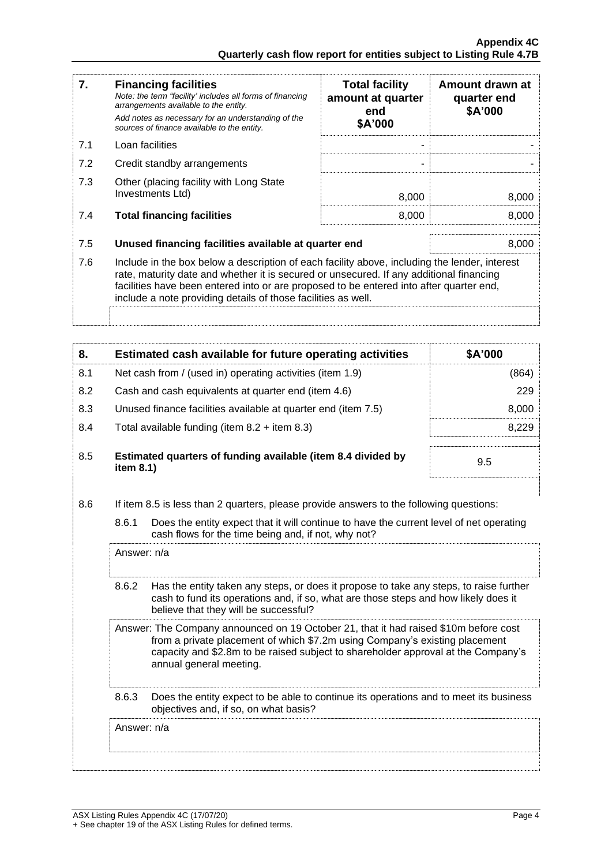| 7.  | <b>Financing facilities</b><br>Note: the term "facility' includes all forms of financing<br>arrangements available to the entity.<br>Add notes as necessary for an understanding of the<br>sources of finance available to the entity.                                                                                                               | <b>Total facility</b><br>amount at quarter<br>end<br>\$A'000 | Amount drawn at<br>quarter end<br>\$A'000 |
|-----|------------------------------------------------------------------------------------------------------------------------------------------------------------------------------------------------------------------------------------------------------------------------------------------------------------------------------------------------------|--------------------------------------------------------------|-------------------------------------------|
| 7.1 | Loan facilities                                                                                                                                                                                                                                                                                                                                      |                                                              |                                           |
| 7.2 | Credit standby arrangements                                                                                                                                                                                                                                                                                                                          |                                                              |                                           |
| 7.3 | Other (placing facility with Long State<br>Investments Ltd)                                                                                                                                                                                                                                                                                          | 8,000                                                        | 8,000                                     |
| 7.4 | <b>Total financing facilities</b>                                                                                                                                                                                                                                                                                                                    | 8,000                                                        | 8,000                                     |
| 7.5 | Unused financing facilities available at quarter end                                                                                                                                                                                                                                                                                                 |                                                              | 8,000                                     |
| 7.6 | Include in the box below a description of each facility above, including the lender, interest<br>rate, maturity date and whether it is secured or unsecured. If any additional financing<br>facilities have been entered into or are proposed to be entered into after quarter end,<br>include a note providing details of those facilities as well. |                                                              |                                           |
|     |                                                                                                                                                                                                                                                                                                                                                      |                                                              |                                           |

| 8.  | Estimated cash available for future operating activities                     | \$A'000 |
|-----|------------------------------------------------------------------------------|---------|
| 8.1 | Net cash from / (used in) operating activities (item 1.9)                    | (864)   |
| 8.2 | Cash and cash equivalents at quarter end (item 4.6)                          | 229     |
| 8.3 | Unused finance facilities available at quarter end (item 7.5)                | 8,000   |
| 8.4 | Total available funding (item $8.2$ + item $8.3$ )                           | 8.229   |
| 8.5 | Estimated quarters of funding available (item 8.4 divided by<br>item $8.1$ ) | 9.5     |

8.6 If item 8.5 is less than 2 quarters, please provide answers to the following questions:

| 8.6.1 | Does the entity expect that it will continue to have the current level of net operating |
|-------|-----------------------------------------------------------------------------------------|
|       | cash flows for the time being and, if not, why not?                                     |

|       | Answer: n/a                                                                                                                                                                                                                                                                         |
|-------|-------------------------------------------------------------------------------------------------------------------------------------------------------------------------------------------------------------------------------------------------------------------------------------|
| 8.6.2 | Has the entity taken any steps, or does it propose to take any steps, to raise further<br>cash to fund its operations and, if so, what are those steps and how likely does it<br>believe that they will be successful?                                                              |
|       | Answer: The Company announced on 19 October 21, that it had raised \$10m before cost<br>from a private placement of which \$7.2m using Company's existing placement<br>capacity and \$2.8m to be raised subject to shareholder approval at the Company's<br>annual general meeting. |
| 8.6.3 | Does the entity expect to be able to continue its operations and to meet its business<br>objectives and, if so, on what basis?                                                                                                                                                      |
|       | Answer: n/a                                                                                                                                                                                                                                                                         |